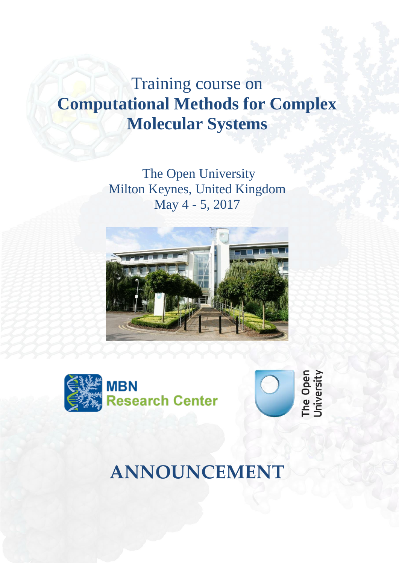# Training course on **Computational Methods for Complex Molecular Systems**

The Open University Milton Keynes, United Kingdom May 4 - 5, 2017





The Open<br>University

**ANNOUNCEMENT**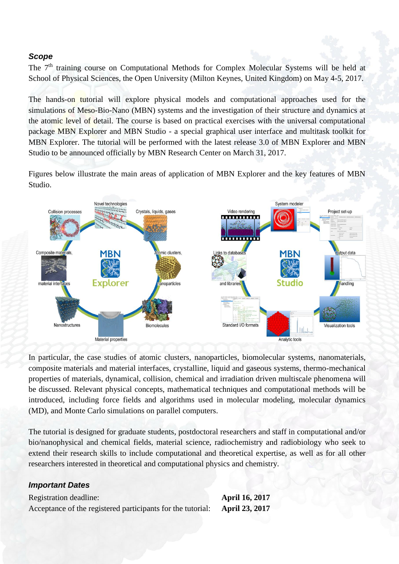#### *Scope*

The 7<sup>th</sup> training course on Computational Methods for Complex Molecular Systems will be held at School of Physical Sciences, the Open University (Milton Keynes, United Kingdom) on May 4-5, 2017.

The hands-on tutorial will explore physical models and computational approaches used for the simulations of Meso-Bio-Nano (MBN) systems and the investigation of their structure and dynamics at the atomic level of detail. The course is based on practical exercises with the universal computational package MBN Explorer and MBN Studio - a special graphical user interface and multitask toolkit for MBN Explorer. The tutorial will be performed with the latest release 3.0 of MBN Explorer and MBN Studio to be announced officially by MBN Research Center on March 31, 2017.

Figures below illustrate the main areas of application of MBN Explorer and the key features of MBN Studio.



In particular, the case studies of atomic clusters, nanoparticles, biomolecular systems, nanomaterials, composite materials and material interfaces, crystalline, liquid and gaseous systems, thermo-mechanical properties of materials, dynamical, collision, chemical and irradiation driven multiscale phenomena will be discussed. Relevant physical concepts, mathematical techniques and computational methods will be introduced, including force fields and algorithms used in molecular modeling, molecular dynamics (MD), and Monte Carlo simulations on parallel computers.

The tutorial is designed for graduate students, postdoctoral researchers and staff in computational and/or bio/nanophysical and chemical fields, material science, radiochemistry and radiobiology who seek to extend their research skills to include computational and theoretical expertise, as well as for all other researchers interested in theoretical and computational physics and chemistry.

#### *Important Dates*

Registration deadline: **April 16, 2017** Acceptance of the registered participants for the tutorial: **April 23, 2017**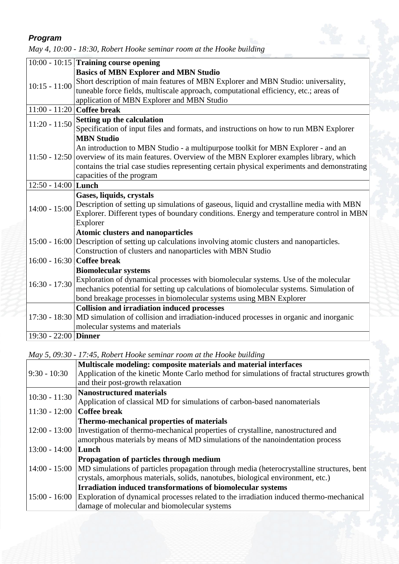# *Program*

|                      | $10:00 - 10:15$ Training course opening                                                             |
|----------------------|-----------------------------------------------------------------------------------------------------|
|                      | <b>Basics of MBN Explorer and MBN Studio</b>                                                        |
| $10:15 - 11:00$      | Short description of main features of MBN Explorer and MBN Studio: universality,                    |
|                      | tuneable force fields, multiscale approach, computational efficiency, etc.; areas of                |
|                      | application of MBN Explorer and MBN Studio                                                          |
|                      | 11:00 - 11:20 Coffee break                                                                          |
| $11:20 - 11:50$      | Setting up the calculation                                                                          |
|                      | Specification of input files and formats, and instructions on how to run MBN Explorer               |
| $11:50 - 12:50$      | <b>MBN Studio</b>                                                                                   |
|                      | An introduction to MBN Studio - a multipurpose toolkit for MBN Explorer - and an                    |
|                      | overview of its main features. Overview of the MBN Explorer examples library, which                 |
|                      | contains the trial case studies representing certain physical experiments and demonstrating         |
|                      | capacities of the program                                                                           |
| 12:50 - 14:00 Lunch  |                                                                                                     |
| $14:00 - 15:00$      | Gases, liquids, crystals                                                                            |
|                      | Description of setting up simulations of gaseous, liquid and crystalline media with MBN             |
|                      | Explorer. Different types of boundary conditions. Energy and temperature control in MBN             |
|                      | Explorer                                                                                            |
|                      | <b>Atomic clusters and nanoparticles</b>                                                            |
|                      | 15:00 - 16:00 Description of setting up calculations involving atomic clusters and nanoparticles.   |
|                      | Construction of clusters and nanoparticles with MBN Studio                                          |
|                      | 16:00 - 16:30 Coffee break                                                                          |
| $16:30 - 17:30$      | <b>Biomolecular systems</b>                                                                         |
|                      | Exploration of dynamical processes with biomolecular systems. Use of the molecular                  |
|                      | mechanics potential for setting up calculations of biomolecular systems. Simulation of              |
|                      | bond breakage processes in biomolecular systems using MBN Explorer                                  |
|                      | <b>Collision and irradiation induced processes</b>                                                  |
|                      | 17:30 - 18:30 MD simulation of collision and irradiation-induced processes in organic and inorganic |
|                      | molecular systems and materials                                                                     |
| 19:30 - 22:00 Dinner |                                                                                                     |

*May 4, 10:00 - 18:30, Robert Hooke seminar room at the Hooke building*

*May 5, 09:30 - 17:45, Robert Hooke seminar room at the Hooke building*

| $9:30 - 10:30$  | Multiscale modeling: composite materials and material interfaces<br>Application of the kinetic Monte Carlo method for simulations of fractal structures growth<br>and their post-growth relaxation                                      |
|-----------------|-----------------------------------------------------------------------------------------------------------------------------------------------------------------------------------------------------------------------------------------|
| $10:30 - 11:30$ | <b>Nanostructured materials</b><br>Application of classical MD for simulations of carbon-based nanomaterials                                                                                                                            |
| $11:30 - 12:00$ | Coffee break                                                                                                                                                                                                                            |
| $12:00 - 13:00$ | Thermo-mechanical properties of materials<br>Investigation of thermo-mechanical properties of crystalline, nanostructured and<br>amorphous materials by means of MD simulations of the nanoindentation process                          |
| $13:00 - 14:00$ | Lunch                                                                                                                                                                                                                                   |
|                 | Propagation of particles through medium<br>14:00 - 15:00   MD simulations of particles propagation through media (heterocrystalline structures, bent<br>crystals, amorphous materials, solids, nanotubes, biological environment, etc.) |
|                 | Irradiation induced transformations of biomolecular systems<br>15:00 - 16:00   Exploration of dynamical processes related to the irradiation induced thermo-mechanical<br>damage of molecular and biomolecular systems                  |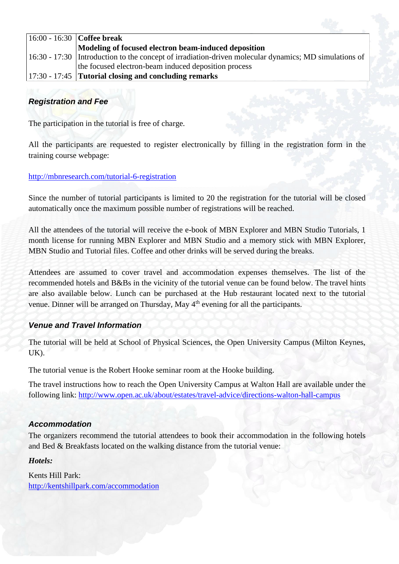| $ 16:00 - 16:30 $ Coffee break                                                                                  |
|-----------------------------------------------------------------------------------------------------------------|
| Modeling of focused electron beam-induced deposition                                                            |
| $\vert$ 16:30 - 17:30   Introduction to the concept of irradiation-driven molecular dynamics; MD simulations of |
| the focused electron-beam induced deposition process                                                            |
| $\vert 17:30 - 17:45 \vert$ Tutorial closing and concluding remarks                                             |

# *Registration and Fee*

The participation in the tutorial is free of charge.

All the participants are requested to register electronically by filling in the registration form in the training course webpage:

#### <http://mbnresearch.com/tutorial-6-registration>

Since the number of tutorial participants is limited to 20 the registration for the tutorial will be closed automatically once the maximum possible number of registrations will be reached.

All the attendees of the tutorial will receive the e-book of MBN Explorer and MBN Studio Tutorials, 1 month license for running MBN Explorer and MBN Studio and a memory stick with MBN Explorer, MBN Studio and Tutorial files. Coffee and other drinks will be served during the breaks.

Attendees are assumed to cover travel and accommodation expenses themselves. The list of the recommended hotels and B&Bs in the vicinity of the tutorial venue can be found below. The travel hints are also available below. Lunch can be purchased at the Hub restaurant located next to the tutorial venue. Dinner will be arranged on Thursday, May 4<sup>th</sup> evening for all the participants.

# *Venue and Travel Information*

The tutorial will be held at School of Physical Sciences, the Open University Campus (Milton Keynes, UK).

The tutorial venue is the Robert Hooke seminar room at the Hooke building.

The travel instructions how to reach the Open University Campus at Walton Hall are available under the following link: <http://www.open.ac.uk/about/estates/travel-advice/directions-walton-hall-campus>

#### *Accommodation*

The organizers recommend the tutorial attendees to book their accommodation in the following hotels and Bed & Breakfasts located on the walking distance from the tutorial venue:

*Hotels:*

Kents Hill Park: <http://kentshillpark.com/accommodation>